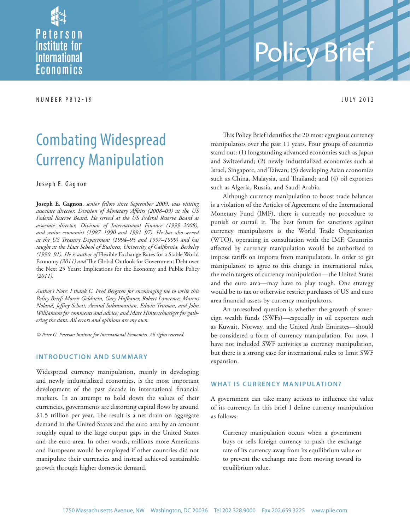

# Policy B

NUMBER PB12-19 JULY 2012

## Combating Widespread Currency Manipulation

#### Joseph E. Gagnon

**Joseph E. Gagnon***, senior fellow since September 2009, was visiting*  associate director, Division of Monetary Affairs (2008–09) at the US *Federal Reserve Board. He served at the US Federal Reserve Board as associate director, Division of International Finance (1999–2008), and senior economist (1987–1990 and 1991–97). He has also served at the US Treasury Department (1994–95 and 1997–1999) and has taught at the Haas School of Business, University of California, Berkeley (1990–91). He is author of* Flexible Exchange Rates for a Stable World Economy (2011) and The Global Outlook for Government Debt over the Next 25 Years: Implications for the Economy and Public Policy *(2011).* 

*Author's Note: I thank C. Fred Bergsten for encouraging me to write this Policy Brief; Morris Goldstein, Gary Hufbauer, Robert Lawrence, Marcus Noland, Jeff rey Schott, Arvind Subramanian, Edwin Truman, and John Williamson for comments and advice; and Marc Hinterschweiger for gathering the data. All errors and opinions are my own.*

*© Peter G. Peterson Institute for International Economics. All rights reserved.*

#### **INTRODUCTION AND SUMMARY**

Widespread currency manipulation, mainly in developing and newly industrialized economies, is the most important development of the past decade in international financial markets. In an attempt to hold down the values of their currencies, governments are distorting capital flows by around \$1.5 trillion per year. The result is a net drain on aggregate demand in the United States and the euro area by an amount roughly equal to the large output gaps in the United States and the euro area. In other words, millions more Americans and Europeans would be employed if other countries did not manipulate their currencies and instead achieved sustainable growth through higher domestic demand.

This Policy Brief identifies the 20 most egregious currency manipulators over the past 11 years. Four groups of countries stand out: (1) longstanding advanced economies such as Japan and Switzerland; (2) newly industrialized economies such as Israel, Singapore, and Taiwan; (3) developing Asian economies such as China, Malaysia, and Thailand; and (4) oil exporters such as Algeria, Russia, and Saudi Arabia.

Although currency manipulation to boost trade balances is a violation of the Articles of Agreement of the International Monetary Fund (IMF), there is currently no procedure to punish or curtail it. The best forum for sanctions against currency manipulators is the World Trade Organization (WTO), operating in consultation with the IMF. Countries affected by currency manipulation would be authorized to impose tariffs on imports from manipulators. In order to get manipulators to agree to this change in international rules, the main targets of currency manipulation—the United States and the euro area—may have to play tough. One strategy would be to tax or otherwise restrict purchases of US and euro area financial assets by currency manipulators.

An unresolved question is whether the growth of sovereign wealth funds (SWFs)—especially in oil exporters such as Kuwait, Norway, and the United Arab Emirates—should be considered a form of currency manipulation. For now, I have not included SWF activities as currency manipulation, but there is a strong case for international rules to limit SWF expansion.

#### **WHAT IS CURRENCY MANIPULATION?**

A government can take many actions to influence the value of its currency. In this brief I define currency manipulation as follows:

Currency manipulation occurs when a government buys or sells foreign currency to push the exchange rate of its currency away from its equilibrium value or to prevent the exchange rate from moving toward its equilibrium value.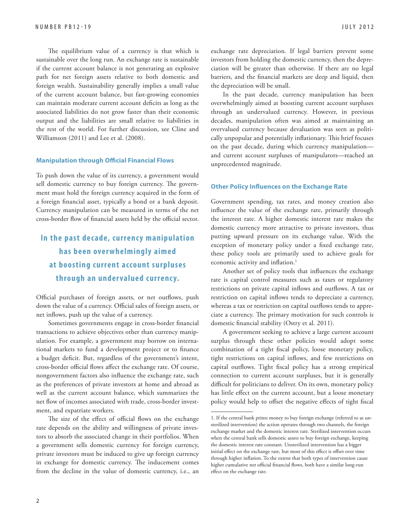The equilibrium value of a currency is that which is sustainable over the long run. An exchange rate is sustainable if the current account balance is not generating an explosive path for net foreign assets relative to both domestic and foreign wealth. Sustainability generally implies a small value of the current account balance, but fast-growing economies can maintain moderate current account deficits as long as the associated liabilities do not grow faster than their economic output and the liabilities are small relative to liabilities in the rest of the world. For further discussion, see Cline and Williamson (2011) and Lee et al. (2008).

#### **Manipulation through Official Financial Flows**

To push down the value of its currency, a government would sell domestic currency to buy foreign currency. The government must hold the foreign currency acquired in the form of a foreign financial asset, typically a bond or a bank deposit. Currency manipulation can be measured in terms of the net cross-border flow of financial assets held by the official sector.

### In the past decade, currency manipulation **has been over whelmingly aimed at boosting c urrent account surpluses through an undervalued currency.**

Official purchases of foreign assets, or net outflows, push down the value of a currency. Official sales of foreign assets, or net inflows, push up the value of a currency.

Sometimes governments engage in cross-border financial transactions to achieve objectives other than currency manipulation. For example, a government may borrow on international markets to fund a development project or to finance a budget deficit. But, regardless of the government's intent, cross-border official flows affect the exchange rate. Of course, nongovernment factors also influence the exchange rate, such as the preferences of private investors at home and abroad as well as the current account balance, which summarizes the net flow of incomes associated with trade, cross-border investment, and expatriate workers.

The size of the effect of official flows on the exchange rate depends on the ability and willingness of private investors to absorb the associated change in their portfolios. When a government sells domestic currency for foreign currency, private investors must be induced to give up foreign currency in exchange for domestic currency. The inducement comes from the decline in the value of domestic currency, i.e., an exchange rate depreciation. If legal barriers prevent some investors from holding the domestic currency, then the depreciation will be greater than otherwise. If there are no legal barriers, and the financial markets are deep and liquid, then the depreciation will be small.

In the past decade, currency manipulation has been overwhelmingly aimed at boosting current account surpluses through an undervalued currency. However, in previous decades, manipulation often was aimed at maintaining an overvalued currency because devaluation was seen as politically unpopular and potentially inflationary. This brief focuses on the past decade, during which currency manipulation and current account surpluses of manipulators—reached an unprecedented magnitude.

#### **Other Policy Influences on the Exchange Rate**

Government spending, tax rates, and money creation also influence the value of the exchange rate, primarily through the interest rate. A higher domestic interest rate makes the domestic currency more attractive to private investors, thus putting upward pressure on its exchange value. With the exception of monetary policy under a fixed exchange rate, these policy tools are primarily used to achieve goals for economic activity and inflation.<sup>1</sup>

Another set of policy tools that influences the exchange rate is capital control measures such as taxes or regulatory restrictions on private capital inflows and outflows. A tax or restriction on capital inflows tends to depreciate a currency, whereas a tax or restriction on capital outflows tends to appreciate a currency. The primary motivation for such controls is domestic financial stability (Ostry et al. 2011).

A government seeking to achieve a large current account surplus through these other policies would adopt some combination of a tight fiscal policy, loose monetary policy, tight restrictions on capital inflows, and few restrictions on capital outflows. Tight fiscal policy has a strong empirical connection to current account surpluses, but it is generally difficult for politicians to deliver. On its own, monetary policy has little effect on the current account, but a loose monetary policy would help to offset the negative effects of tight fiscal

<sup>1.</sup> If the central bank prints money to buy foreign exchange (referred to as unsterilized intervention) the action operates through two channels, the foreign exchange market and the domestic interest rate. Sterilized intervention occurs when the central bank sells domestic assets to buy foreign exchange, keeping the domestic interest rate constant. Unsterilized intervention has a bigger initial effect on the exchange rate, but most of this effect is offset over time through higher inflation. To the extent that both types of intervention cause higher cumulative net official financial flows, both have a similar long-run effect on the exchange rate.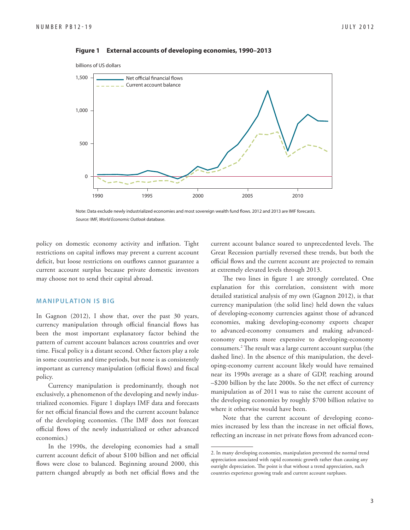

#### **Figure 1 External accounts of developing economies, 1990–2013**

Note: Data exclude newly industrialized economies and most sovereign wealth fund flows. 2012 and 2013 are IMF forecasts. Source: IMF, World Economic Outlook database.

policy on domestic economy activity and inflation. Tight restrictions on capital inflows may prevent a current account deficit, but loose restrictions on outflows cannot guarantee a current account surplus because private domestic investors may choose not to send their capital abroad.

#### **MANIPULATION IS BIG**

In Gagnon (2012), I show that, over the past 30 years, currency manipulation through official financial flows has been the most important explanatory factor behind the pattern of current account balances across countries and over time. Fiscal policy is a distant second. Other factors play a role in some countries and time periods, but none is as consistently important as currency manipulation (official flows) and fiscal policy.

Currency manipulation is predominantly, though not exclusively, a phenomenon of the developing and newly industrialized economies. Figure 1 displays IMF data and forecasts for net official financial flows and the current account balance of the developing economies. (The IMF does not forecast official flows of the newly industrialized or other advanced economies.)

In the 1990s, the developing economies had a small current account deficit of about \$100 billion and net official flows were close to balanced. Beginning around 2000, this pattern changed abruptly as both net official flows and the current account balance soared to unprecedented levels. The Great Recession partially reversed these trends, but both the official flows and the current account are projected to remain at extremely elevated levels through 2013.

The two lines in figure 1 are strongly correlated. One explanation for this correlation, consistent with more detailed statistical analysis of my own (Gagnon 2012), is that currency manipulation (the solid line) held down the values of developing-economy currencies against those of advanced economies, making developing-economy exports cheaper to advanced-economy consumers and making advancedeconomy exports more expensive to developing-economy consumers.<sup>2</sup> The result was a large current account surplus (the dashed line). In the absence of this manipulation, the developing-economy current account likely would have remained near its 1990s average as a share of GDP, reaching around  $-$ \$200 billion by the late 2000s. So the net effect of currency manipulation as of 2011 was to raise the current account of the developing economies by roughly \$700 billion relative to where it otherwise would have been.

Note that the current account of developing economies increased by less than the increase in net official flows, reflecting an increase in net private flows from advanced econ-

<sup>2.</sup> In many developing economies, manipulation prevented the normal trend appreciation associated with rapid economic growth rather than causing any outright depreciation. The point is that without a trend appreciation, such countries experience growing trade and current account surpluses.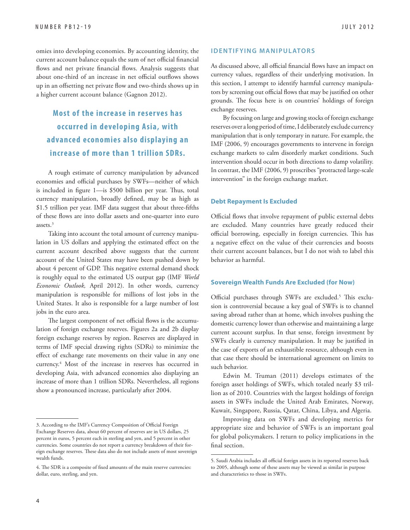omies into developing economies. By accounting identity, the current account balance equals the sum of net official financial flows and net private financial flows. Analysis suggests that about one-third of an increase in net official outflows shows up in an offsetting net private flow and two-thirds shows up in a higher current account balance (Gagnon 2012).

**Most of the increase in reser ves has occ urred in developing A sia, with advanced economies also displaying an increase of more than 1 trillion SDRs.**

A rough estimate of currency manipulation by advanced economies and official purchases by SWFs—neither of which is included in figure 1—is \$500 billion per year. Thus, total currency manipulation, broadly defined, may be as high as \$1.5 trillion per year. IMF data suggest that about three-fifths of these flows are into dollar assets and one-quarter into euro assets.3

Taking into account the total amount of currency manipulation in US dollars and applying the estimated effect on the current account described above suggests that the current account of the United States may have been pushed down by about 4 percent of GDP. This negative external demand shock is roughly equal to the estimated US output gap (IMF *World Economic Outlook,* April 2012). In other words, currency manipulation is responsible for millions of lost jobs in the United States. It also is responsible for a large number of lost jobs in the euro area.

The largest component of net official flows is the accumulation of foreign exchange reserves. Figures 2a and 2b display foreign exchange reserves by region. Reserves are displayed in terms of IMF special drawing rights (SDRs) to minimize the effect of exchange rate movements on their value in any one currency.4 Most of the increase in reserves has occurred in developing Asia, with advanced economies also displaying an increase of more than 1 trillion SDRs. Nevertheless, all regions show a pronounced increase, particularly after 2004.

#### **IDENTIFYING MANIPULATORS**

As discussed above, all official financial flows have an impact on currency values, regardless of their underlying motivation. In this section, I attempt to identify harmful currency manipulators by screening out official flows that may be justified on other grounds. The focus here is on countries' holdings of foreign exchange reserves.

By focusing on large and growing stocks of foreign exchange reserves over a long period of time, I deliberately exclude currency manipulation that is only temporary in nature. For example, the IMF (2006, 9) encourages governments to intervene in foreign exchange markets to calm disorderly market conditions. Such intervention should occur in both directions to damp volatility. In contrast, the IMF (2006, 9) proscribes "protracted large-scale intervention" in the foreign exchange market.

#### **Debt Repayment Is Excluded**

Official flows that involve repayment of public external debts are excluded. Many countries have greatly reduced their official borrowing, especially in foreign currencies. This has a negative effect on the value of their currencies and boosts their current account balances, but I do not wish to label this behavior as harmful.

#### **Sovereign Wealth Funds Are Excluded (for Now)**

Official purchases through SWFs are excluded.<sup>5</sup> This exclusion is controversial because a key goal of SWFs is to channel saving abroad rather than at home, which involves pushing the domestic currency lower than otherwise and maintaining a large current account surplus. In that sense, foreign investment by SWFs clearly is currency manipulation. It may be justified in the case of exports of an exhaustible resource, although even in that case there should be international agreement on limits to such behavior.

Edwin M. Truman (2011) develops estimates of the foreign asset holdings of SWFs, which totaled nearly \$3 trillion as of 2010. Countries with the largest holdings of foreign assets in SWFs include the United Arab Emirates, Norway, Kuwait, Singapore, Russia, Qatar, China, Libya, and Algeria.

Improving data on SWFs and developing metrics for appropriate size and behavior of SWFs is an important goal for global policymakers. I return to policy implications in the final section.

<sup>3.</sup> According to the IMF's Currency Composition of Official Foreign Exchange Reserves data, about 60 percent of reserves are in US dollars, 25 percent in euros, 5 percent each in sterling and yen, and 5 percent in other currencies. Some countries do not report a currency breakdown of their foreign exchange reserves. These data also do not include assets of most sovereign wealth funds.

<sup>4.</sup> The SDR is a composite of fixed amounts of the main reserve currencies: dollar, euro, sterling, and yen.

<sup>5.</sup> Saudi Arabia includes all official foreign assets in its reported reserves back to 2005, although some of these assets may be viewed as similar in purpose and characteristics to those in SWFs.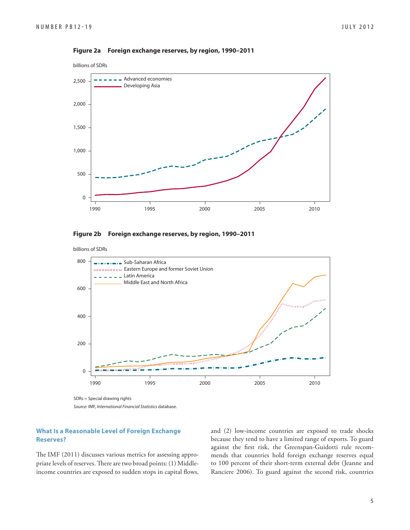

#### **Figure 2a Foreign exchange reserves, by region, 1990–2011**





SDRs = Special drawing rights

Source: IMF, International Financial Statistics database.

#### **What Is a Reasonable Level of Foreign Exchange Reserves?**

The IMF (2011) discusses various metrics for assessing appropriate levels of reserves. There are two broad points: (1) Middleincome countries are exposed to sudden stops in capital flows, and (2) low-income countries are exposed to trade shocks because they tend to have a limited range of exports. To guard against the first risk, the Greenspan-Guidotti rule recommends that countries hold foreign exchange reserves equal to 100 percent of their short-term external debt (Jeanne and Ranciere 2006). To guard against the second risk, countries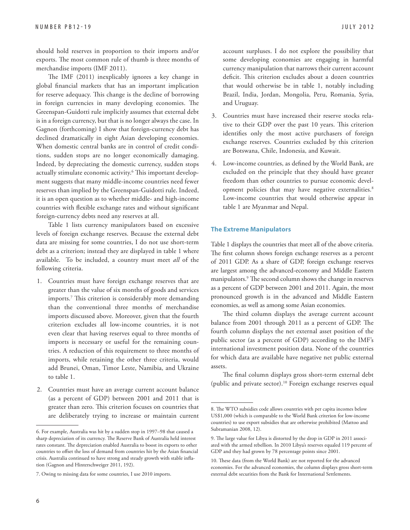should hold reserves in proportion to their imports and/or exports. The most common rule of thumb is three months of merchandise imports (IMF 2011).

The IMF (2011) inexplicably ignores a key change in global financial markets that has an important implication for reserve adequacy. This change is the decline of borrowing in foreign currencies in many developing economies. The Greenspan-Guidotti rule implicitly assumes that external debt is in a foreign currency, but that is no longer always the case. In Gagnon (forthcoming) I show that foreign-currency debt has declined dramatically in eight Asian developing economies. When domestic central banks are in control of credit conditions, sudden stops are no longer economically damaging. Indeed, by depreciating the domestic currency, sudden stops actually stimulate economic activity.<sup>6</sup> This important development suggests that many middle-income countries need fewer reserves than implied by the Greenspan-Guidotti rule. Indeed, it is an open question as to whether middle- and high-income countries with flexible exchange rates and without significant foreign-currency debts need any reserves at all.

Table 1 lists currency manipulators based on excessive levels of foreign exchange reserves. Because the external debt data are missing for some countries, I do not use short-term debt as a criterion; instead they are displayed in table 1 where available. To be included, a country must meet *all* of the following criteria.

- 1. Countries must have foreign exchange reserves that are greater than the value of six months of goods and services imports.<sup>7</sup> This criterion is considerably more demanding than the conventional three months of merchandise imports discussed above. Moreover, given that the fourth criterion excludes all low-income countries, it is not even clear that having reserves equal to three months of imports is necessary or useful for the remaining countries. A reduction of this requirement to three months of imports, while retaining the other three criteria, would add Brunei, Oman, Timor Leste, Namibia, and Ukraine to table 1.
- 2. Countries must have an average current account balance (as a percent of GDP) between 2001 and 2011 that is greater than zero. This criterion focuses on countries that are deliberately trying to increase or maintain current

account surpluses. I do not explore the possibility that some developing economies are engaging in harmful currency manipulation that narrows their current account deficit. This criterion excludes about a dozen countries that would otherwise be in table 1, notably including Brazil, India, Jordan, Mongolia, Peru, Romania, Syria, and Uruguay.

- 3. Countries must have increased their reserve stocks relative to their GDP over the past 10 years. This criterion identifies only the most active purchasers of foreign exchange reserves. Countries excluded by this criterion are Botswana, Chile, Indonesia, and Kuwait.
- 4. Low-income countries, as defined by the World Bank, are excluded on the principle that they should have greater freedom than other countries to pursue economic development policies that may have negative externalities.<sup>8</sup> Low-income countries that would otherwise appear in table 1 are Myanmar and Nepal.

#### **The Extreme Manipulators**

Table 1 displays the countries that meet all of the above criteria. The first column shows foreign exchange reserves as a percent of 2011 GDP. As a share of GDP, foreign exchange reserves are largest among the advanced-economy and Middle Eastern manipulators.<sup>9</sup> The second column shows the change in reserves as a percent of GDP between 2001 and 2011. Again, the most pronounced growth is in the advanced and Middle Eastern economies, as well as among some Asian economies.

The third column displays the average current account balance from 2001 through 2011 as a percent of GDP. The fourth column displays the net external asset position of the public sector (as a percent of GDP) according to the IMF's international investment position data. None of the countries for which data are available have negative net public external assets.

The final column displays gross short-term external debt (public and private sector).10 Foreign exchange reserves equal

<sup>6.</sup> For example, Australia was hit by a sudden stop in 1997–98 that caused a sharp depreciation of its currency. The Reserve Bank of Australia held interest rates constant. The depreciation enabled Australia to boost its exports to other countries to offset the loss of demand from countries hit by the Asian financial crisis. Australia continued to have strong and steady growth with stable inflation (Gagnon and Hinterschweiger 2011, 192).

<sup>7.</sup> Owing to missing data for some countries, I use 2010 imports.

<sup>8.</sup> The WTO subsidies code allows countries with per capita incomes below US\$1,000 (which is comparable to the World Bank criterion for low-income countries) to use export subsidies that are otherwise prohibited (Mattoo and Subramanian 2008, 12).

<sup>9.</sup> The large value for Libya is distorted by the drop in GDP in 2011 associated with the armed rebellion. In 2010 Libya's reserves equaled 119 percent of GDP and they had grown by 78 percentage points since 2001.

<sup>10.</sup> These data (from the World Bank) are not reported for the advanced economies. For the advanced economies, the column displays gross short-term external debt securities from the Bank for International Settlements.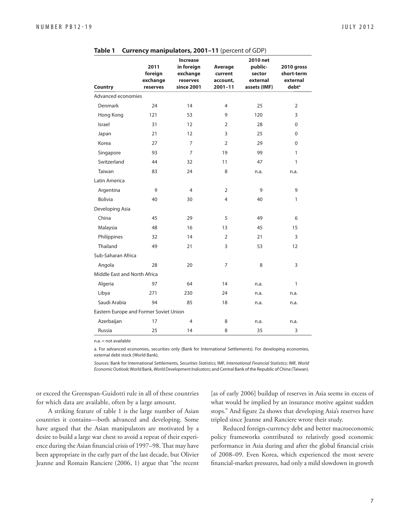| Country                                | 2011<br>foreign<br>exchange<br>reserves | Increase<br>in foreign<br>exchange<br>reserves<br>since 2001 | Average<br>current<br>account,<br>$2001 - 11$ | 2010 net<br>public-<br>sector<br>external<br>assets (IMF) | 2010 gross<br>short-term<br>external<br>debt <sup>a</sup> |
|----------------------------------------|-----------------------------------------|--------------------------------------------------------------|-----------------------------------------------|-----------------------------------------------------------|-----------------------------------------------------------|
| Advanced economies                     |                                         |                                                              |                                               |                                                           |                                                           |
| Denmark                                | 24                                      | 14                                                           | 4                                             | 25                                                        | $\overline{2}$                                            |
| Hong Kong                              | 121                                     | 53                                                           | 9                                             | 120                                                       | 3                                                         |
| Israel                                 | 31                                      | 12                                                           | $\overline{2}$                                | 28                                                        | $\Omega$                                                  |
| Japan                                  | 21                                      | $12 \overline{ }$                                            | 3                                             | 25                                                        | 0                                                         |
| Korea                                  | 27                                      | $\overline{7}$                                               | $\overline{2}$                                | 29                                                        | 0                                                         |
| Singapore                              | 93                                      | 7                                                            | 19                                            | 99                                                        | 1                                                         |
| Switzerland                            | 44                                      | 32                                                           | 11                                            | 47                                                        | $\mathbf{1}$                                              |
| Taiwan                                 | 83                                      | 24                                                           | 8                                             | n.a.                                                      | n.a.                                                      |
| Latin America                          |                                         |                                                              |                                               |                                                           |                                                           |
| Argentina                              | 9                                       | 4                                                            | 2                                             | 9                                                         | 9                                                         |
| <b>Bolivia</b>                         | 40                                      | 30                                                           | 4                                             | 40                                                        | 1                                                         |
| Developing Asia                        |                                         |                                                              |                                               |                                                           |                                                           |
| China                                  | 45                                      | 29                                                           | 5                                             | 49                                                        | 6                                                         |
| Malaysia                               | 48                                      | 16                                                           | 13                                            | 45                                                        | 15                                                        |
| Philippines                            | 32                                      | 14                                                           | $\overline{2}$                                | 21                                                        | 3                                                         |
| Thailand                               | 49                                      | 21                                                           | 3                                             | 53                                                        | 12                                                        |
| Sub-Saharan Africa                     |                                         |                                                              |                                               |                                                           |                                                           |
| Angola                                 | 28                                      | 20                                                           | 7                                             | 8                                                         | 3                                                         |
| Middle East and North Africa           |                                         |                                                              |                                               |                                                           |                                                           |
| Algeria                                | 97                                      | 64                                                           | 14                                            | n.a.                                                      | $\mathbf{1}$                                              |
| Libya                                  | 271                                     | 230                                                          | 24                                            | n.a.                                                      | n.a.                                                      |
| Saudi Arabia                           | 94                                      | 85                                                           | 18                                            | n.a.                                                      | n.a.                                                      |
| Eastern Europe and Former Soviet Union |                                         |                                                              |                                               |                                                           |                                                           |
| Azerbaijan                             | 17                                      | 4                                                            | 8                                             | n.a.                                                      | n.a.                                                      |
| Russia                                 | 25                                      | 14                                                           | 8                                             | 35                                                        | 3                                                         |

**Table 1 Currency manipulators, 2001–11** (percent of GDP)

n.a. = not available

a. For advanced economies, securities only (Bank for International Settlements). For developing economies, external debt stock (World Bank).

Sources: Bank for International Settlements, Securities Statistics; IMF, International Financial Statistics; IMF, World Economic Outlook; World Bank, World Development Indicators; and Central Bank of the Republic of China (Taiwan).

or exceed the Greenspan-Guidotti rule in all of these countries for which data are available, often by a large amount.

A striking feature of table 1 is the large number of Asian countries it contains—both advanced and developing. Some have argued that the Asian manipulators are motivated by a desire to build a large war chest to avoid a repeat of their experience during the Asian financial crisis of 1997–98. That may have been appropriate in the early part of the last decade, but Olivier Jeanne and Romain Ranciere (2006, 1) argue that "the recent

[as of early 2006] buildup of reserves in Asia seems in excess of what would be implied by an insurance motive against sudden stops." And figure 2a shows that developing Asia's reserves have tripled since Jeanne and Ranciere wrote their study.

Reduced foreign-currency debt and better macroeconomic policy frameworks contributed to relatively good economic performance in Asia during and after the global financial crisis of 2008–09. Even Korea, which experienced the most severe financial-market pressures, had only a mild slowdown in growth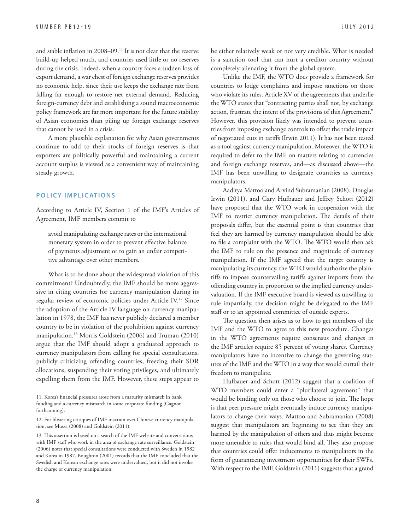and stable inflation in 2008–09.<sup>11</sup> It is not clear that the reserve build-up helped much, and countries used little or no reserves during the crisis. Indeed, when a country faces a sudden loss of export demand, a war chest of foreign exchange reserves provides no economic help, since their use keeps the exchange rate from falling far enough to restore net external demand. Reducing foreign-currency debt and establishing a sound macroeconomic policy framework are far more important for the future stability of Asian economies than piling up foreign exchange reserves that cannot be used in a crisis.

A more plausible explanation for why Asian governments continue to add to their stocks of foreign reserves is that exporters are politically powerful and maintaining a current account surplus is viewed as a convenient way of maintaining steady growth.

#### **POLICY IMPLICATIONS**

According to Article IV, Section 1 of the IMF's Articles of Agreement, IMF members commit to

avoid manipulating exchange rates or the international monetary system in order to prevent effective balance of payments adjustment or to gain an unfair competitive advantage over other members.

What is to be done about the widespread violation of this commitment? Undoubtedly, the IMF should be more aggressive in citing countries for currency manipulation during its regular review of economic policies under Article IV.12 Since the adoption of the Article IV language on currency manipulation in 1978, the IMF has never publicly declared a member country to be in violation of the prohibition against currency manipulation.13 Morris Goldstein (2006) and Truman (2010) argue that the IMF should adopt a graduated approach to currency manipulators from calling for special consultations, publicly criticizing offending countries, freezing their SDR allocations, suspending their voting privileges, and ultimately expelling them from the IMF. However, these steps appear to be either relatively weak or not very credible. What is needed is a sanction tool that can hurt a creditor country without completely alienating it from the global system.

Unlike the IMF, the WTO does provide a framework for countries to lodge complaints and impose sanctions on those who violate its rules. Article XV of the agreements that underlie the WTO states that "contracting parties shall not, by exchange action, frustrate the intent of the provisions of this Agreement." However, this provision likely was intended to prevent countries from imposing exchange controls to offset the trade impact of negotiated cuts in tariffs (Irwin 2011). It has not been tested as a tool against currency manipulation. Moreover, the WTO is required to defer to the IMF on matters relating to currencies and foreign exchange reserves, and—as discussed above—the IMF has been unwilling to designate countries as currency manipulators.

Aaditya Mattoo and Arvind Subramanian (2008), Douglas Irwin (2011), and Gary Hufbauer and Jeffrey Schott (2012) have proposed that the WTO work in cooperation with the IMF to restrict currency manipulation. The details of their proposals differ, but the essential point is that countries that feel they are harmed by currency manipulation should be able to file a complaint with the WTO. The WTO would then ask the IMF to rule on the presence and magnitude of currency manipulation. If the IMF agreed that the target country is manipulating its currency, the WTO would authorize the plaintiffs to impose countervailing tariffs against imports from the offending country in proportion to the implied currency undervaluation. If the IMF executive board is viewed as unwilling to rule impartially, the decision might be delegated to the IMF staff or to an appointed committee of outside experts.

The question then arises as to how to get members of the IMF and the WTO to agree to this new procedure. Changes in the WTO agreements require consensus and changes in the IMF articles require 85 percent of voting shares. Currency manipulators have no incentive to change the governing statutes of the IMF and the WTO in a way that would curtail their freedom to manipulate.

Hufbauer and Schott (2012) suggest that a coalition of WTO members could enter a "plurilateral agreement" that would be binding only on those who choose to join. The hope is that peer pressure might eventually induce currency manipulators to change their ways. Mattoo and Subramanian (2008) suggest that manipulators are beginning to see that they are harmed by the manipulation of others and thus might become more amenable to rules that would bind all. They also propose that countries could offer inducements to manipulators in the form of guaranteeing investment opportunities for their SWFs. With respect to the IMF, Goldstein (2011) suggests that a grand

<sup>11.</sup> Korea's financial pressures arose from a maturity mismatch in bank funding and a currency mismatch in some corporate funding (Gagnon forthcoming).

<sup>12.</sup> For blistering critiques of IMF inaction over Chinese currency manipulation, see Mussa (2008) and Goldstein (2011).

<sup>13.</sup> This assertion is based on a search of the IMF website and conversations with IMF staff who work in the area of exchange rate surveillance. Goldstein (2006) notes that special consultations were conducted with Sweden in 1982 and Korea in 1987. Boughton (2001) records that the IMF concluded that the Swedish and Korean exchange rates were undervalued, but it did not invoke the charge of currency manipulation.